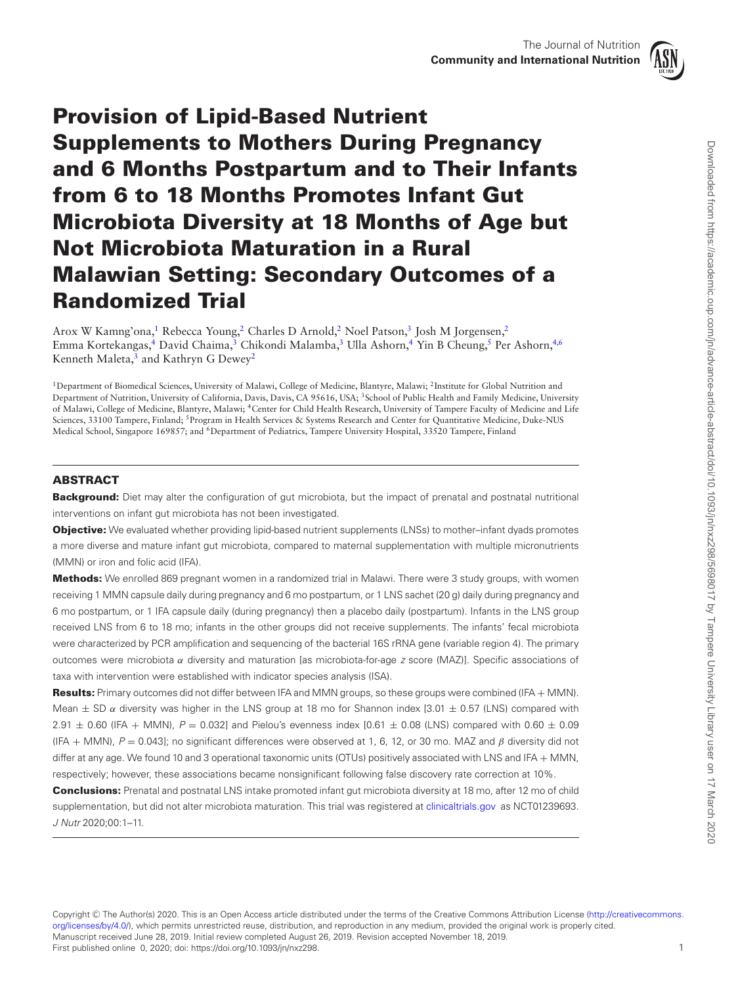

# **Provision of Lipid-Based Nutrient Supplements to Mothers During Pregnancy and 6 Months Postpartum and to Their Infants from 6 to 18 Months Promotes Infant Gut Microbiota Diversity at 18 Months of Age but Not Microbiota Maturation in a Rural Malawian Setting: Secondary Outcomes of a Randomized Trial**

Arox W Kamng'ona,<sup>1</sup> Rebecca Young,<sup>2</sup> Charles D Arnold,<sup>2</sup> Noel Patson,<sup>3</sup> Josh M Jorgensen,<sup>2</sup> Emma Kortekangas,<sup>4</sup> David Chaima,<sup>3</sup> Chikondi Malamba,<sup>3</sup> Ulla Ashorn,<sup>4</sup> Yin B Cheung,<sup>5</sup> Per Ashorn,<sup>4,[6](#page-0-5)</sup> Kenneth Maleta,<sup>3</sup> and Kathryn G Dewey<sup>[2](#page-0-1)</sup>

<span id="page-0-4"></span><span id="page-0-3"></span><span id="page-0-2"></span><span id="page-0-1"></span><span id="page-0-0"></span>1Department of Biomedical Sciences, University of Malawi, College of Medicine, Blantyre, Malawi; 2Institute for Global Nutrition and Department of Nutrition, University of California, Davis, Davis, CA 95616, USA; 3School of Public Health and Family Medicine, University of Malawi, College of Medicine, Blantyre, Malawi; 4Center for Child Health Research, University of Tampere Faculty of Medicine and Life Sciences, 33100 Tampere, Finland; <sup>5</sup>Program in Health Services & Systems Research and Center for Quantitative Medicine, Duke-NUS Medical School, Singapore 169857; and <sup>6</sup>Department of Pediatrics, Tampere University Hospital, 33520 Tampere, Finland

# <span id="page-0-5"></span>**ABSTRACT**

**Background:** Diet may alter the configuration of gut microbiota, but the impact of prenatal and postnatal nutritional interventions on infant gut microbiota has not been investigated.

**Objective:** We evaluated whether providing lipid-based nutrient supplements (LNSs) to mother–infant dyads promotes a more diverse and mature infant gut microbiota, compared to maternal supplementation with multiple micronutrients (MMN) or iron and folic acid (IFA).

**Methods:** We enrolled 869 pregnant women in a randomized trial in Malawi. There were 3 study groups, with women receiving 1 MMN capsule daily during pregnancy and 6 mo postpartum, or 1 LNS sachet (20 g) daily during pregnancy and 6 mo postpartum, or 1 IFA capsule daily (during pregnancy) then a placebo daily (postpartum). Infants in the LNS group received LNS from 6 to 18 mo; infants in the other groups did not receive supplements. The infants' fecal microbiota were characterized by PCR amplification and sequencing of the bacterial 16S rRNA gene (variable region 4). The primary outcomes were microbiota α diversity and maturation [as microbiota-for-age z score (MAZ)]. Specific associations of taxa with intervention were established with indicator species analysis (ISA).

**Results:** Primary outcomes did not differ between IFA and MMN groups, so these groups were combined (IFA + MMN). Mean  $\pm$  SD  $\alpha$  diversity was higher in the LNS group at 18 mo for Shannon index [3.01  $\pm$  0.57 (LNS) compared with  $2.91 \pm 0.60$  (IFA + MMN),  $P = 0.032$ ] and Pielou's evenness index [0.61  $\pm$  0.08 (LNS) compared with 0.60  $\pm$  0.09 (IFA + MMN),  $P = 0.043$ ]; no significant differences were observed at 1, 6, 12, or 30 mo. MAZ and  $\beta$  diversity did not differ at any age. We found 10 and 3 operational taxonomic units (OTUs) positively associated with LNS and IFA + MMN, respectively; however, these associations became nonsignificant following false discovery rate correction at 10%.

**Conclusions:** Prenatal and postnatal LNS intake promoted infant gut microbiota diversity at 18 mo, after 12 mo of child supplementation, but did not alter microbiota maturation. This trial was registered at [clinicaltrials.gov](http://www.clinicaltrials.gov) as NCT01239693. J Nutr 2020;00:1–11.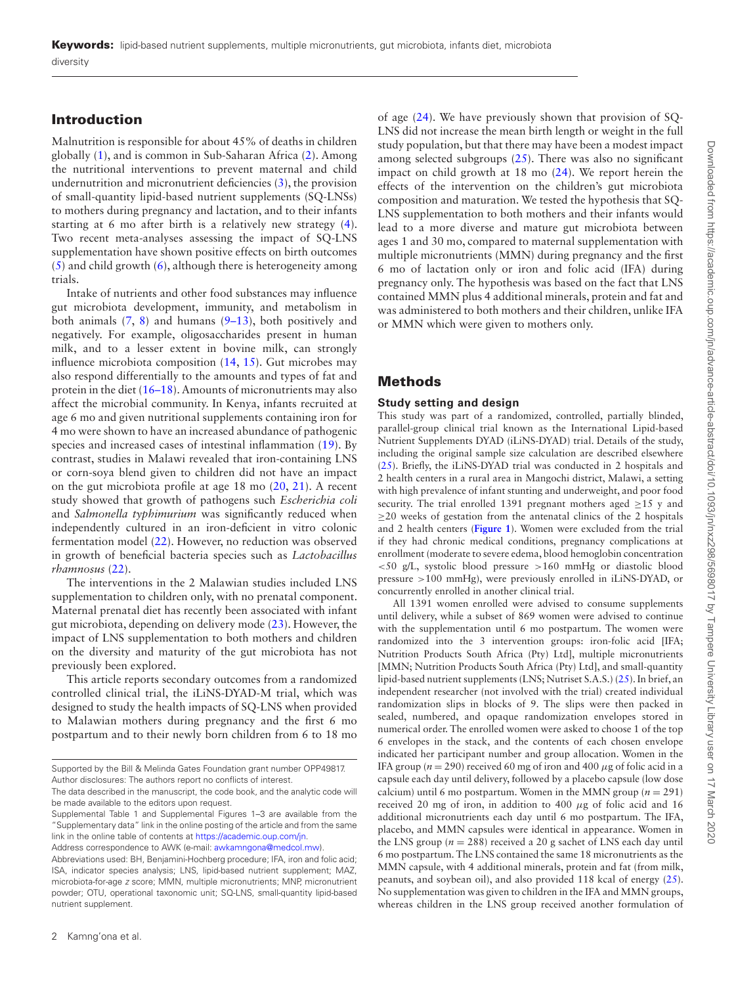# **Introduction**

Malnutrition is responsible for about 45% of deaths in children globally [\(1\)](#page-8-0), and is common in Sub-Saharan Africa [\(2\)](#page-8-1). Among the nutritional interventions to prevent maternal and child undernutrition and micronutrient deficiencies [\(3\)](#page-8-2), the provision of small-quantity lipid-based nutrient supplements (SQ-LNSs) to mothers during pregnancy and lactation, and to their infants starting at 6 mo after birth is a relatively new strategy [\(4\)](#page-9-0). Two recent meta-analyses assessing the impact of SQ-LNS supplementation have shown positive effects on birth outcomes  $(5)$  and child growth  $(6)$ , although there is heterogeneity among trials.

Intake of nutrients and other food substances may influence gut microbiota development, immunity, and metabolism in both animals  $(7, 8)$  $(7, 8)$  $(7, 8)$  and humans  $(9-13)$ , both positively and negatively. For example, oligosaccharides present in human milk, and to a lesser extent in bovine milk, can strongly influence microbiota composition [\(14,](#page-9-6) [15\)](#page-9-7). Gut microbes may also respond differentially to the amounts and types of fat and protein in the diet [\(16–18\)](#page-9-8). Amounts of micronutrients may also affect the microbial community. In Kenya, infants recruited at age 6 mo and given nutritional supplements containing iron for 4 mo were shown to have an increased abundance of pathogenic species and increased cases of intestinal inflammation [\(19\)](#page-9-9). By contrast, studies in Malawi revealed that iron-containing LNS or corn-soya blend given to children did not have an impact on the gut microbiota profile at age 18 mo [\(20,](#page-9-10) [21\)](#page-9-11). A recent study showed that growth of pathogens such *Escherichia coli* and *Salmonella typhimurium* was significantly reduced when independently cultured in an iron-deficient in vitro colonic fermentation model [\(22\)](#page-9-12). However, no reduction was observed in growth of beneficial bacteria species such as *Lactobacillus rhamnosus* [\(22\)](#page-9-12).

The interventions in the 2 Malawian studies included LNS supplementation to children only, with no prenatal component. Maternal prenatal diet has recently been associated with infant gut microbiota, depending on delivery mode [\(23\)](#page-9-13). However, the impact of LNS supplementation to both mothers and children on the diversity and maturity of the gut microbiota has not previously been explored.

This article reports secondary outcomes from a randomized controlled clinical trial, the iLiNS-DYAD-M trial, which was designed to study the health impacts of SQ-LNS when provided to Malawian mothers during pregnancy and the first 6 mo postpartum and to their newly born children from 6 to 18 mo

Address correspondence to AWK (e-mail: [awkamngona@medcol.mw\)](mailto:awkamngona@medcol.mw).

of age [\(24\)](#page-9-14). We have previously shown that provision of SQ-LNS did not increase the mean birth length or weight in the full study population, but that there may have been a modest impact among selected subgroups  $(25)$ . There was also no significant impact on child growth at 18 mo [\(24\)](#page-9-14). We report herein the effects of the intervention on the children's gut microbiota composition and maturation. We tested the hypothesis that SQ-LNS supplementation to both mothers and their infants would lead to a more diverse and mature gut microbiota between ages 1 and 30 mo, compared to maternal supplementation with multiple micronutrients (MMN) during pregnancy and the first 6 mo of lactation only or iron and folic acid (IFA) during pregnancy only. The hypothesis was based on the fact that LNS contained MMN plus 4 additional minerals, protein and fat and was administered to both mothers and their children, unlike IFA or MMN which were given to mothers only.

# **Methods**

## **Study setting and design**

This study was part of a randomized, controlled, partially blinded, parallel-group clinical trial known as the International Lipid-based Nutrient Supplements DYAD (iLiNS-DYAD) trial. Details of the study, including the original sample size calculation are described elsewhere [\(25\)](#page-9-15). Briefly, the iLiNS-DYAD trial was conducted in 2 hospitals and 2 health centers in a rural area in Mangochi district, Malawi, a setting with high prevalence of infant stunting and underweight, and poor food security. The trial enrolled 1391 pregnant mothers aged ≥15 y and ≥20 weeks of gestation from the antenatal clinics of the 2 hospitals and 2 health centers (**[Figure 1](#page-2-0)**). Women were excluded from the trial if they had chronic medical conditions, pregnancy complications at enrollment (moderate to severe edema, blood hemoglobin concentration <50 g/L, systolic blood pressure >160 mmHg or diastolic blood pressure >100 mmHg), were previously enrolled in iLiNS-DYAD, or concurrently enrolled in another clinical trial.

All 1391 women enrolled were advised to consume supplements until delivery, while a subset of 869 women were advised to continue with the supplementation until 6 mo postpartum. The women were randomized into the 3 intervention groups: iron-folic acid [IFA; Nutrition Products South Africa (Pty) Ltd], multiple micronutrients [MMN; Nutrition Products South Africa (Pty) Ltd], and small-quantity lipid-based nutrient supplements (LNS; Nutriset S.A.S.) [\(25\)](#page-9-15). In brief, an independent researcher (not involved with the trial) created individual randomization slips in blocks of 9. The slips were then packed in sealed, numbered, and opaque randomization envelopes stored in numerical order. The enrolled women were asked to choose 1 of the top 6 envelopes in the stack, and the contents of each chosen envelope indicated her participant number and group allocation. Women in the IFA group ( $n = 290$ ) received 60 mg of iron and 400  $\mu$ g of folic acid in a capsule each day until delivery, followed by a placebo capsule (low dose calcium) until 6 mo postpartum. Women in the MMN group  $(n = 291)$ received 20 mg of iron, in addition to 400  $\mu$ g of folic acid and 16 additional micronutrients each day until 6 mo postpartum. The IFA, placebo, and MMN capsules were identical in appearance. Women in the LNS group ( $n = 288$ ) received a 20 g sachet of LNS each day until 6 mo postpartum. The LNS contained the same 18 micronutrients as the MMN capsule, with 4 additional minerals, protein and fat (from milk, peanuts, and soybean oil), and also provided 118 kcal of energy [\(25\)](#page-9-15). No supplementation was given to children in the IFA and MMN groups, whereas children in the LNS group received another formulation of

Supported by the Bill & Melinda Gates Foundation grant number OPP49817. Author disclosures: The authors report no conflicts of interest.

The data described in the manuscript, the code book, and the analytic code will be made available to the editors upon request.

Supplemental Table 1 and Supplemental Figures 1–3 are available from the "Supplementary data" link in the online posting of the article and from the same link in the online table of contents at [https://academic.oup.com/jn.](https://academic.oup.com/jn)

Abbreviations used: BH, Benjamini-Hochberg procedure; IFA, iron and folic acid; ISA, indicator species analysis; LNS, lipid-based nutrient supplement; MAZ, microbiota-for-age z score; MMN, multiple micronutrients; MNP, micronutrient powder; OTU, operational taxonomic unit; SQ-LNS, small-quantity lipid-based nutrient supplement.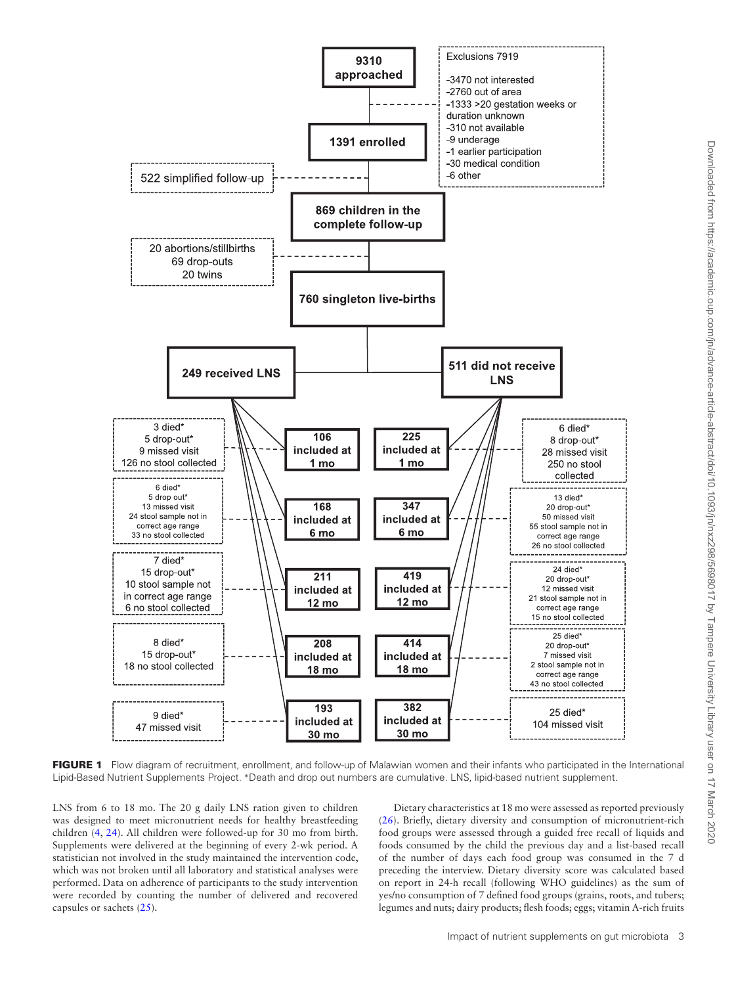<span id="page-2-0"></span>

FIGURE 1 Flow diagram of recruitment, enrollment, and follow-up of Malawian women and their infants who participated in the International Lipid-Based Nutrient Supplements Project. ∗Death and drop out numbers are cumulative. LNS, lipid-based nutrient supplement.

LNS from 6 to 18 mo. The 20 g daily LNS ration given to children was designed to meet micronutrient needs for healthy breastfeeding children [\(4,](#page-9-0) [24\)](#page-9-14). All children were followed-up for 30 mo from birth. Supplements were delivered at the beginning of every 2-wk period. A statistician not involved in the study maintained the intervention code, which was not broken until all laboratory and statistical analyses were performed. Data on adherence of participants to the study intervention were recorded by counting the number of delivered and recovered capsules or sachets [\(25\)](#page-9-15).

Dietary characteristics at 18 mo were assessed as reported previously [\(26\)](#page-9-16). Briefly, dietary diversity and consumption of micronutrient-rich food groups were assessed through a guided free recall of liquids and foods consumed by the child the previous day and a list-based recall of the number of days each food group was consumed in the 7 d preceding the interview. Dietary diversity score was calculated based on report in 24-h recall (following WHO guidelines) as the sum of yes/no consumption of 7 defined food groups (grains, roots, and tubers; legumes and nuts; dairy products; flesh foods; eggs; vitamin A-rich fruits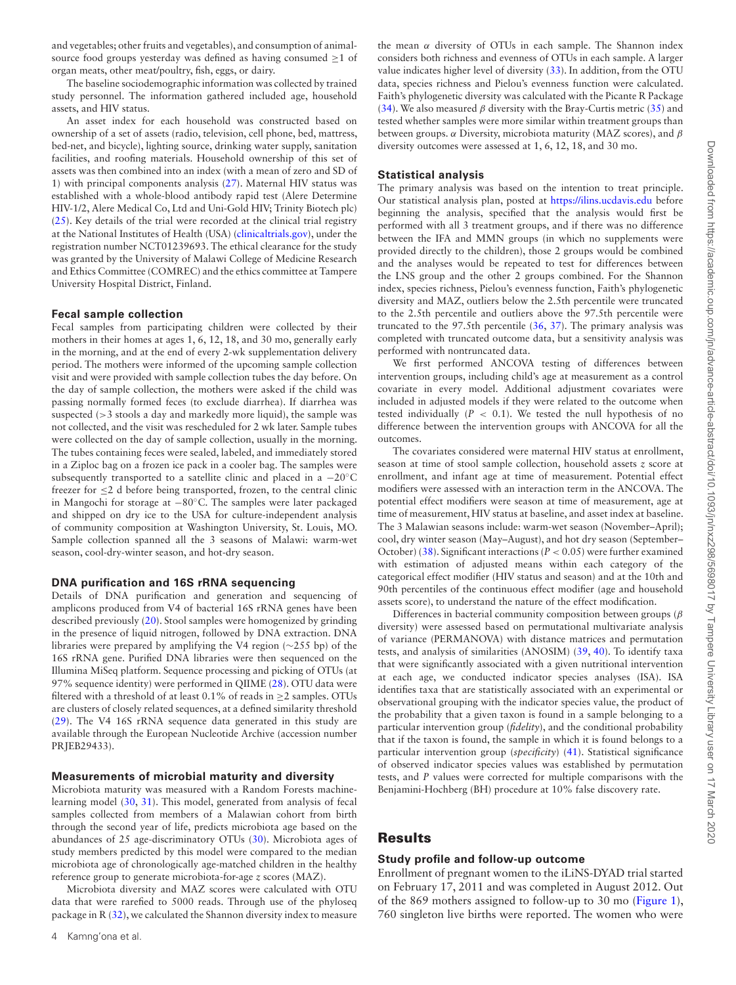and vegetables; other fruits and vegetables), and consumption of animalsource food groups yesterday was defined as having consumed  $\geq 1$  of organ meats, other meat/poultry, fish, eggs, or dairy.

The baseline sociodemographic information was collected by trained study personnel. The information gathered included age, household assets, and HIV status.

An asset index for each household was constructed based on ownership of a set of assets (radio, television, cell phone, bed, mattress, bed-net, and bicycle), lighting source, drinking water supply, sanitation facilities, and roofing materials. Household ownership of this set of assets was then combined into an index (with a mean of zero and SD of 1) with principal components analysis [\(27\)](#page-9-17). Maternal HIV status was established with a whole-blood antibody rapid test (Alere Determine HIV-1/2, Alere Medical Co, Ltd and Uni-Gold HIV; Trinity Biotech plc) [\(25\)](#page-9-15). Key details of the trial were recorded at the clinical trial registry at the National Institutes of Health (USA) [\(clinicaltrials.gov\)](http://www.clinicaltrials.gov), under the registration number NCT01239693. The ethical clearance for the study was granted by the University of Malawi College of Medicine Research and Ethics Committee (COMREC) and the ethics committee at Tampere University Hospital District, Finland.

#### **Fecal sample collection**

Fecal samples from participating children were collected by their mothers in their homes at ages 1, 6, 12, 18, and 30 mo, generally early in the morning, and at the end of every 2-wk supplementation delivery period. The mothers were informed of the upcoming sample collection visit and were provided with sample collection tubes the day before. On the day of sample collection, the mothers were asked if the child was passing normally formed feces (to exclude diarrhea). If diarrhea was suspected (>3 stools a day and markedly more liquid), the sample was not collected, and the visit was rescheduled for 2 wk later. Sample tubes were collected on the day of sample collection, usually in the morning. The tubes containing feces were sealed, labeled, and immediately stored in a Ziploc bag on a frozen ice pack in a cooler bag. The samples were subsequently transported to a satellite clinic and placed in a −20◦C freezer for ≤2 d before being transported, frozen, to the central clinic in Mangochi for storage at −80◦C. The samples were later packaged and shipped on dry ice to the USA for culture-independent analysis of community composition at Washington University, St. Louis, MO. Sample collection spanned all the 3 seasons of Malawi: warm-wet season, cool-dry-winter season, and hot-dry season.

#### **DNA purification and 16S rRNA sequencing**

Details of DNA purification and generation and sequencing of amplicons produced from V4 of bacterial 16S rRNA genes have been described previously [\(20\)](#page-9-10). Stool samples were homogenized by grinding in the presence of liquid nitrogen, followed by DNA extraction. DNA libraries were prepared by amplifying the V4 region (∼255 bp) of the 16S rRNA gene. Purified DNA libraries were then sequenced on the Illumina MiSeq platform. Sequence processing and picking of OTUs (at 97% sequence identity) were performed in QIIME [\(28\)](#page-9-18). OTU data were filtered with a threshold of at least  $0.1\%$  of reads in >2 samples. OTUs are clusters of closely related sequences, at a defined similarity threshold [\(29\)](#page-9-19). The V4 16S rRNA sequence data generated in this study are available through the European Nucleotide Archive (accession number PRJEB29433).

#### **Measurements of microbial maturity and diversity**

Microbiota maturity was measured with a Random Forests machinelearning model [\(30,](#page-9-20) [31\)](#page-9-21). This model, generated from analysis of fecal samples collected from members of a Malawian cohort from birth through the second year of life, predicts microbiota age based on the abundances of 25 age-discriminatory OTUs [\(30\)](#page-9-20). Microbiota ages of study members predicted by this model were compared to the median microbiota age of chronologically age-matched children in the healthy reference group to generate microbiota-for-age *z* scores (MAZ).

Microbiota diversity and MAZ scores were calculated with OTU data that were rarefied to 5000 reads. Through use of the phyloseq package in R [\(32\)](#page-9-22), we calculated the Shannon diversity index to measure the mean  $\alpha$  diversity of OTUs in each sample. The Shannon index considers both richness and evenness of OTUs in each sample. A larger value indicates higher level of diversity [\(33\)](#page-9-23). In addition, from the OTU data, species richness and Pielou's evenness function were calculated. Faith's phylogenetic diversity was calculated with the Picante R Package [\(34\)](#page-9-24). We also measured  $\beta$  diversity with the Bray-Curtis metric [\(35\)](#page-9-25) and tested whether samples were more similar within treatment groups than between groups.  $\alpha$  Diversity, microbiota maturity (MAZ scores), and  $\beta$ diversity outcomes were assessed at 1, 6, 12, 18, and 30 mo.

## **Statistical analysis**

The primary analysis was based on the intention to treat principle. Our statistical analysis plan, posted at <https://ilins.ucdavis.edu> before beginning the analysis, specified that the analysis would first be performed with all 3 treatment groups, and if there was no difference between the IFA and MMN groups (in which no supplements were provided directly to the children), those 2 groups would be combined and the analyses would be repeated to test for differences between the LNS group and the other 2 groups combined. For the Shannon index, species richness, Pielou's evenness function, Faith's phylogenetic diversity and MAZ, outliers below the 2.5th percentile were truncated to the 2.5th percentile and outliers above the 97.5th percentile were truncated to the 97.5th percentile [\(36,](#page-9-26) [37\)](#page-9-27). The primary analysis was completed with truncated outcome data, but a sensitivity analysis was performed with nontruncated data.

We first performed ANCOVA testing of differences between intervention groups, including child's age at measurement as a control covariate in every model. Additional adjustment covariates were included in adjusted models if they were related to the outcome when tested individually (*P* < 0.1). We tested the null hypothesis of no difference between the intervention groups with ANCOVA for all the outcomes.

The covariates considered were maternal HIV status at enrollment, season at time of stool sample collection, household assets *z* score at enrollment, and infant age at time of measurement. Potential effect modifiers were assessed with an interaction term in the ANCOVA. The potential effect modifiers were season at time of measurement, age at time of measurement, HIV status at baseline, and asset index at baseline. The 3 Malawian seasons include: warm-wet season (November–April); cool, dry winter season (May–August), and hot dry season (September– October) [\(38\)](#page-9-28). Significant interactions ( $P < 0.05$ ) were further examined with estimation of adjusted means within each category of the categorical effect modifier (HIV status and season) and at the 10th and 90th percentiles of the continuous effect modifier (age and household assets score), to understand the nature of the effect modification.

Differences in bacterial community composition between groups ( $\beta$ diversity) were assessed based on permutational multivariate analysis of variance (PERMANOVA) with distance matrices and permutation tests, and analysis of similarities (ANOSIM) [\(39,](#page-9-29) [40\)](#page-9-30). To identify taxa that were significantly associated with a given nutritional intervention at each age, we conducted indicator species analyses (ISA). ISA identifies taxa that are statistically associated with an experimental or observational grouping with the indicator species value, the product of the probability that a given taxon is found in a sample belonging to a particular intervention group (*fidelity*), and the conditional probability that if the taxon is found, the sample in which it is found belongs to a particular intervention group (*specificity*) [\(41\)](#page-9-31). Statistical significance of observed indicator species values was established by permutation tests, and *P* values were corrected for multiple comparisons with the Benjamini-Hochberg (BH) procedure at 10% false discovery rate.

## **Results**

#### **Study profile and follow-up outcome**

Enrollment of pregnant women to the iLiNS-DYAD trial started on February 17, 2011 and was completed in August 2012. Out of the 869 mothers assigned to follow-up to 30 mo [\(Figure 1\)](#page-2-0), 760 singleton live births were reported. The women who were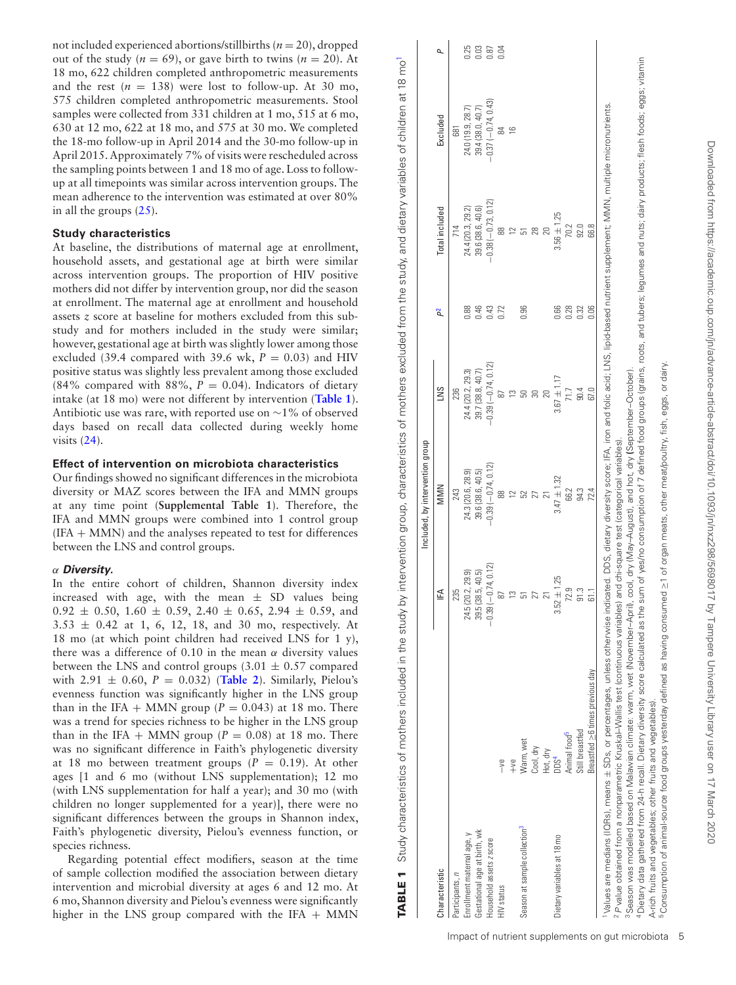not included experienced abortions/stillbirths (*n* = 20), dropped out of the study ( $n = 69$ ), or gave birth to twins ( $n = 20$ ). At 18 mo, 622 children completed anthropometric measurements and the rest  $(n = 138)$  were lost to follow-up. At 30 mo, 575 children completed anthropometric measurements. Stool samples were collected from 331 children at 1 mo, 515 at 6 mo, 630 at 12 mo, 622 at 18 mo, and 575 at 30 mo. We completed the 18-mo follow-up in April 2014 and the 30-mo follow-up in April 2015. Approximately 7% of visits were rescheduled across the sampling points between 1 and 18 mo of age. Loss to followup at all timepoints was similar across intervention groups. The mean adherence to the intervention was estimated at over 80% in all the groups [\(25\)](#page-9-15).

## **Study characteristics**

At baseline, the distributions of maternal age at enrollment, household assets, and gestational age at birth were similar across intervention groups. The proportion of HIV positive mothers did not differ by intervention group, nor did the season at enrollment. The maternal age at enrollment and household assets *z* score at baseline for mothers excluded from this substudy and for mothers included in the study were similar; however, gestational age at birth was slightly lower among those excluded (39.4 compared with 39.6 wk,  $P = 0.03$ ) and HIV positive status was slightly less prevalent among those excluded (84% compared with 88%,  $P = 0.04$ ). Indicators of dietary intake (at 18 mo) were not different by intervention (**[Table 1](#page-4-0)**). Antibiotic use was rare, with reported use on ∼1% of observed days based on recall data collected during weekly home visits [\(24\)](#page-9-14).

## **Effect of intervention on microbiota characteristics**

Our findings showed no significant differences in the microbiota diversity or MAZ scores between the IFA and MMN groups at any time point (**Supplemental Table 1**). Therefore, the IFA and MMN groups were combined into 1 control group  $(IFA + MMN)$  and the analyses repeated to test for differences between the LNS and control groups.

## α *Diversity.*

In the entire cohort of children, Shannon diversity index increased with age, with the mean  $\pm$  SD values being  $0.92 \pm 0.50$ ,  $1.60 \pm 0.59$ ,  $2.40 \pm 0.65$ ,  $2.94 \pm 0.59$ , and  $3.53 \pm 0.42$  at 1, 6, 12, 18, and 30 mo, respectively. At 18 mo (at which point children had received LNS for 1 y), there was a difference of 0.10 in the mean  $\alpha$  diversity values between the LNS and control groups  $(3.01 \pm 0.57$  compared with 2.91  $\pm$  0.60,  $P = 0.032$ ) (**[Table 2](#page-5-0)**). Similarly, Pielou's evenness function was significantly higher in the LNS group than in the IFA + MMN group  $(P = 0.043)$  at 18 mo. There was a trend for species richness to be higher in the LNS group than in the IFA + MMN group  $(P = 0.08)$  at 18 mo. There was no significant difference in Faith's phylogenetic diversity at 18 mo between treatment groups  $(P = 0.19)$ . At other ages [1 and 6 mo (without LNS supplementation); 12 mo (with LNS supplementation for half a year); and 30 mo (with children no longer supplemented for a year)], there were no significant differences between the groups in Shannon index, Faith's phylogenetic diversity, Pielou's evenness function, or species richness.

<span id="page-4-5"></span><span id="page-4-4"></span><span id="page-4-3"></span><span id="page-4-2"></span><span id="page-4-1"></span>Regarding potential effect modifiers, season at the time of sample collection modified the association between dietary intervention and microbial diversity at ages 6 and 12 mo. At 6 mo, Shannon diversity and Pielou's evenness were significantly higher in the LNS group compared with the IFA  $+$  MMN

|                                                             |                                                                                                                                                                                                                                                                                                                                                                                                                                                                                                                                                                                                                                                                                                                                  |                      | Included, by intervention group |                         |                |                      |                      |      |
|-------------------------------------------------------------|----------------------------------------------------------------------------------------------------------------------------------------------------------------------------------------------------------------------------------------------------------------------------------------------------------------------------------------------------------------------------------------------------------------------------------------------------------------------------------------------------------------------------------------------------------------------------------------------------------------------------------------------------------------------------------------------------------------------------------|----------------------|---------------------------------|-------------------------|----------------|----------------------|----------------------|------|
| haracteristic                                               |                                                                                                                                                                                                                                                                                                                                                                                                                                                                                                                                                                                                                                                                                                                                  | t₹                   | MMN                             | SNT                     | $\mathsf{p}^2$ | Total included       | Excluded             |      |
| Participants, n                                             |                                                                                                                                                                                                                                                                                                                                                                                                                                                                                                                                                                                                                                                                                                                                  | 235                  | 243                             | 236                     |                | 714                  | 681                  |      |
| Enrollment maternal age, y                                  |                                                                                                                                                                                                                                                                                                                                                                                                                                                                                                                                                                                                                                                                                                                                  | 24.5 (20.2, 29.9)    | 24.3 (20.6, 28.9)               | 24.4 (20.2, 29.3)       |                | 24.4 (20.3, 29.2)    | 24.0 (19.9, 28.7)    | 1.25 |
| Gestational age at birth, wk                                |                                                                                                                                                                                                                                                                                                                                                                                                                                                                                                                                                                                                                                                                                                                                  | 39.5 (38.5, 40.5)    | 39.6 (38.6, 40.5)               | 39.7 (38.8, 40.7)       |                | 39.6 (38.6, 40.6)    | 39.4 (38.0, 40.7)    | 0.03 |
| Household assets z score                                    |                                                                                                                                                                                                                                                                                                                                                                                                                                                                                                                                                                                                                                                                                                                                  | $-0.39(-0.74, 0.12)$ | $-0.39(-0.74, 0.12)$            | $-0.39$ $(-0.74, 0.12)$ | 0.43           | $-0.38(-0.73, 0.12)$ | $-0.37(-0.74, 0.43)$ | 0.87 |
| HIV status                                                  | $-ve$                                                                                                                                                                                                                                                                                                                                                                                                                                                                                                                                                                                                                                                                                                                            |                      | జ                               |                         | 0.72           | 88                   | ≅                    | 2.04 |
|                                                             | $^{+6}$                                                                                                                                                                                                                                                                                                                                                                                                                                                                                                                                                                                                                                                                                                                          | S                    |                                 |                         |                |                      | $\overline{6}$       |      |
| Season at sample collection <sup>3</sup>                    | Warm, wet                                                                                                                                                                                                                                                                                                                                                                                                                                                                                                                                                                                                                                                                                                                        |                      |                                 |                         | 8              |                      |                      |      |
|                                                             | Cool, dry                                                                                                                                                                                                                                                                                                                                                                                                                                                                                                                                                                                                                                                                                                                        |                      |                                 |                         |                | 28                   |                      |      |
|                                                             | Hot, dry                                                                                                                                                                                                                                                                                                                                                                                                                                                                                                                                                                                                                                                                                                                         |                      |                                 |                         |                | 20                   |                      |      |
| Dietary variables at 18 mo                                  | DDS <sup>4</sup>                                                                                                                                                                                                                                                                                                                                                                                                                                                                                                                                                                                                                                                                                                                 | $3.52 \pm 1.25$      | $3.47 \pm 1.32$                 | $3.67 \pm 1.17$         | 0.66           | $3.56 \pm 1.25$      |                      |      |
|                                                             | Animal food <sup>5</sup>                                                                                                                                                                                                                                                                                                                                                                                                                                                                                                                                                                                                                                                                                                         | ب<br>Ν.              | 66.2                            | 71.7                    | 0.28           | 70.2                 |                      |      |
|                                                             | Still breastfed                                                                                                                                                                                                                                                                                                                                                                                                                                                                                                                                                                                                                                                                                                                  |                      | 94.3                            | 90.4                    | 0.32           | 92.0                 |                      |      |
|                                                             | Breastfed $\geq$ 6 times previous day                                                                                                                                                                                                                                                                                                                                                                                                                                                                                                                                                                                                                                                                                            |                      | 72.4                            | 67.0                    | 0.06           | 66.8                 |                      |      |
|                                                             | "Dietary data gathered from 24-h recall. Dietary diversity score calculated as the sum of yes/no consumption of 7 defined food groups (grains, not tubers; legumes and nuts; dairy products; flesh foods; eggs; vitamin<br>Values are medians (IQRs), means ± SDs, or percentages, unless otherwise indicated. DDS, dietary diversity score; IFA, iron and folic acid; LNS, lipid-based nutrient supplement; MMN, multiple micronutrients.<br><sup>3</sup> Season was modelled based on Malawian climate: warm, wet (November-April), cool, dry (May-August), and hot, dry (September-October).<br>P value obtained from a nonparametric Kruskal-Wallis test (continuous variables) and chi-square test (categorical variables). |                      |                                 |                         |                |                      |                      |      |
| A-rich fruits and vegetables; other fruits and vegetables). |                                                                                                                                                                                                                                                                                                                                                                                                                                                                                                                                                                                                                                                                                                                                  |                      |                                 |                         |                |                      |                      |      |

**TABLE 1** Study characteristics of mothers included in the study by intervention group, characteristics of mothers excluded from the study, and dietary variables of children at 18 m[o1](#page-4-1)

TABLE 1 Study characteristics of mothers included in the study by intervention group, characteristics of mothers excluded from the study, and dietary variables of children

em<br>E  $at 181$ 

<span id="page-4-0"></span>5Consumption of animal-source food groups yesterday defined as having consumed ≥1 of organ meats, other meat/poultry, fish, eggs, or dairy.

Consumption of animal-source food groups yesterday defined as having consumed ≥1 of organ meats, other meat/poultry, fish, eggs, or dairy.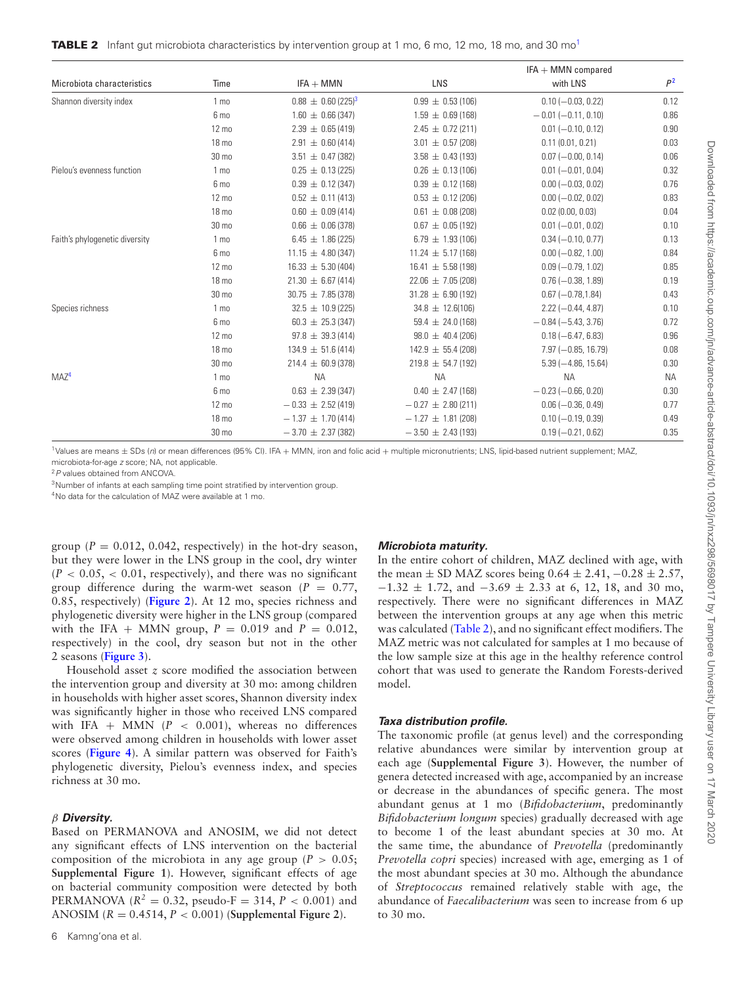<span id="page-5-0"></span>

|  |  | <b>TABLE 2</b> Infant gut microbiota characteristics by intervention group at 1 mo, 6 mo, 12 mo, 18 mo, and 30 mo <sup>1</sup> |  |  |  |  |  |  |
|--|--|--------------------------------------------------------------------------------------------------------------------------------|--|--|--|--|--|--|
|--|--|--------------------------------------------------------------------------------------------------------------------------------|--|--|--|--|--|--|

|                                |                  |                                    |                        | $IFA + MMN$ compared      |                |
|--------------------------------|------------------|------------------------------------|------------------------|---------------------------|----------------|
| Microbiota characteristics     | Time             | $IFA + MMN$                        | LNS                    | with LNS                  | P <sup>2</sup> |
| Shannon diversity index        | 1 <sub>mo</sub>  | $0.88 \pm 0.60$ (225) <sup>3</sup> | $0.99 \pm 0.53$ (106)  | $0.10 (-0.03, 0.22)$      | 0.12           |
|                                | 6 mo             | $1.60 \pm 0.66(347)$               | $1.59 \pm 0.69$ (168)  | $-0.01$ (-0.11, 0.10)     | 0.86           |
|                                | $12 \text{ mo}$  | $2.39 \pm 0.65$ (419)              | $2.45 \pm 0.72$ (211)  | $0.01 (-0.10, 0.12)$      | 0.90           |
|                                | 18 mo            | $2.91 \pm 0.60$ (414)              | $3.01 \pm 0.57$ (208)  | 0.11(0.01, 0.21)          | 0.03           |
|                                | 30 mo            | $3.51 \pm 0.47$ (382)              | $3.58 \pm 0.43$ (193)  | $0.07 (-0.00, 0.14)$      | 0.06           |
| Pielou's evenness function     | 1 <sub>mo</sub>  | $0.25 \pm 0.13$ (225)              | $0.26 \pm 0.13(106)$   | $0.01 (-0.01, 0.04)$      | 0.32           |
|                                | 6 mo             | $0.39 \pm 0.12$ (347)              | $0.39 \pm 0.12$ (168)  | $0.00 (-0.03, 0.02)$      | 0.76           |
|                                | $12 \text{ mo}$  | $0.52 \pm 0.11(413)$               | $0.53 \pm 0.12$ (206)  | $0.00 (-0.02, 0.02)$      | 0.83           |
|                                | 18 mo            | $0.60 \pm 0.09$ (414)              | $0.61 \pm 0.08$ (208)  | 0.02(0.00, 0.03)          | 0.04           |
|                                | 30 <sub>mo</sub> | $0.66 \pm 0.06(378)$               | $0.67 \pm 0.05$ (192)  | $0.01 (-0.01, 0.02)$      | 0.10           |
| Faith's phylogenetic diversity | 1 <sub>mo</sub>  | $6.45 \pm 1.86$ (225)              | $6.79 \pm 1.93(106)$   | $0.34 (-0.10, 0.77)$      | 0.13           |
|                                | 6 mo             | $11.15 \pm 4.80(347)$              | $11.24 \pm 5.17(168)$  | $0.00 (-0.82, 1.00)$      | 0.84           |
|                                | $12 \text{ mo}$  | $16.33 \pm 5.30(404)$              | $16.41 \pm 5.58(198)$  | $0.09 (-0.79, 1.02)$      | 0.85           |
|                                | 18 <sub>mo</sub> | $21.30 \pm 6.67(414)$              | $22.06 \pm 7.05(208)$  | $0.76 (-0.38, 1.89)$      | 0.19           |
|                                | 30 mo            | $30.75 \pm 7.85(378)$              | $31.28 \pm 6.90(192)$  | $0.67 (-0.78, 1.84)$      | 0.43           |
| Species richness               | 1 <sub>mo</sub>  | $32.5 \pm 10.9$ (225)              | $34.8 \pm 12.6(106)$   | $2.22 (-0.44, 4.87)$      | 0.10           |
|                                | 6 mo             | $60.3 \pm 25.3(347)$               | $59.4 \pm 24.0$ (168)  | $-0.84(-5.43, 3.76)$      | 0.72           |
|                                | 12 mo            | $97.8 \pm 39.3(414)$               | $98.0 \pm 40.4$ (206)  | $0.18 (-6.47, 6.83)$      | 0.96           |
|                                | 18 mo            | $134.9 \pm 51.6$ (414)             | $142.9 \pm 55.4$ (208) | $7.97 (-0.85, 16.79)$     | 0.08           |
|                                | 30 mo            | $214.4 \pm 60.9$ (378)             | $219.8 \pm 54.7$ (192) | $5.39(-4.86, 15.64)$      | 0.30           |
| MAZ <sup>4</sup>               | 1 <sub>mo</sub>  | <b>NA</b>                          | <b>NA</b>              | <b>NA</b>                 | <b>NA</b>      |
|                                | 6 mo             | $0.63 \pm 2.39(347)$               | $0.40 \pm 2.47(168)$   | $-0.23$ ( $-0.66$ , 0.20) | 0.30           |
|                                | $12 \text{ mo}$  | $-0.33 \pm 2.52(419)$              | $-0.27 \pm 2.80$ (211) | $0.06 (-0.36, 0.49)$      | 0.77           |
|                                | 18 mo            | $-1.37 \pm 1.70$ (414)             | $-1.27 \pm 1.81$ (208) | $0.10 (-0.19, 0.39)$      | 0.49           |
|                                | 30 mo            | $-3.70 \pm 2.37$ (382)             | $-3.50 \pm 2.43(193)$  | $0.19 (-0.21, 0.62)$      | 0.35           |

<span id="page-5-1"></span>1Values are means ± SDs (n) or mean differences (95% CI). IFA + MMN, iron and folic acid + multiple micronutrients; LNS, lipid-based nutrient supplement; MAZ, microbiota-for-age z score; NA, not applicable.

<span id="page-5-2"></span><sup>2</sup>P values obtained from ANCOVA.

<span id="page-5-3"></span><sup>3</sup>Number of infants at each sampling time point stratified by intervention group.

<span id="page-5-4"></span>4No data for the calculation of MAZ were available at 1 mo.

group ( $P = 0.012$ , 0.042, respectively) in the hot-dry season, but they were lower in the LNS group in the cool, dry winter  $(P < 0.05, < 0.01$ , respectively), and there was no significant group difference during the warm-wet season  $(P = 0.77)$ , 0.85, respectively) (**[Figure 2](#page-6-0)**). At 12 mo, species richness and phylogenetic diversity were higher in the LNS group (compared with the IFA + MMN group,  $P = 0.019$  and  $P = 0.012$ , respectively) in the cool, dry season but not in the other 2 seasons (**[Figure 3](#page-6-1)**).

Household asset *z* score modified the association between the intervention group and diversity at 30 mo: among children in households with higher asset scores, Shannon diversity index was significantly higher in those who received LNS compared with IFA + MMN  $(P < 0.001)$ , whereas no differences were observed among children in households with lower asset scores (**[Figure 4](#page-7-0)**). A similar pattern was observed for Faith's phylogenetic diversity, Pielou's evenness index, and species richness at 30 mo.

## β *Diversity.*

Based on PERMANOVA and ANOSIM, we did not detect any significant effects of LNS intervention on the bacterial composition of the microbiota in any age group ( $P > 0.05$ ; **Supplemental Figure 1**). However, significant effects of age on bacterial community composition were detected by both PERMANOVA ( $R^2 = 0.32$ , pseudo-F = 314,  $P < 0.001$ ) and ANOSIM (*R* = 0.4514, *P* < 0.001) (**Supplemental Figure 2**).

#### *Microbiota maturity.*

In the entire cohort of children, MAZ declined with age, with the mean  $\pm$  SD MAZ scores being 0.64  $\pm$  2.41,  $-0.28 \pm 2.57$ ,  $-1.32 \pm 1.72$ , and  $-3.69 \pm 2.33$  at 6, 12, 18, and 30 mo, respectively. There were no significant differences in MAZ between the intervention groups at any age when this metric was calculated [\(Table 2\)](#page-5-0), and no significant effect modifiers. The MAZ metric was not calculated for samples at 1 mo because of the low sample size at this age in the healthy reference control cohort that was used to generate the Random Forests-derived model.

## *Taxa distribution profile.*

The taxonomic profile (at genus level) and the corresponding relative abundances were similar by intervention group at each age (**Supplemental Figure 3**). However, the number of genera detected increased with age, accompanied by an increase or decrease in the abundances of specific genera. The most abundant genus at 1 mo (*Bifidobacterium*, predominantly *Bifidobacterium longum* species) gradually decreased with age to become 1 of the least abundant species at 30 mo. At the same time, the abundance of *Prevotella* (predominantly *Prevotella copri* species) increased with age, emerging as 1 of the most abundant species at 30 mo. Although the abundance of *Streptococcus* remained relatively stable with age, the abundance of *Faecalibacterium* was seen to increase from 6 up to 30 mo.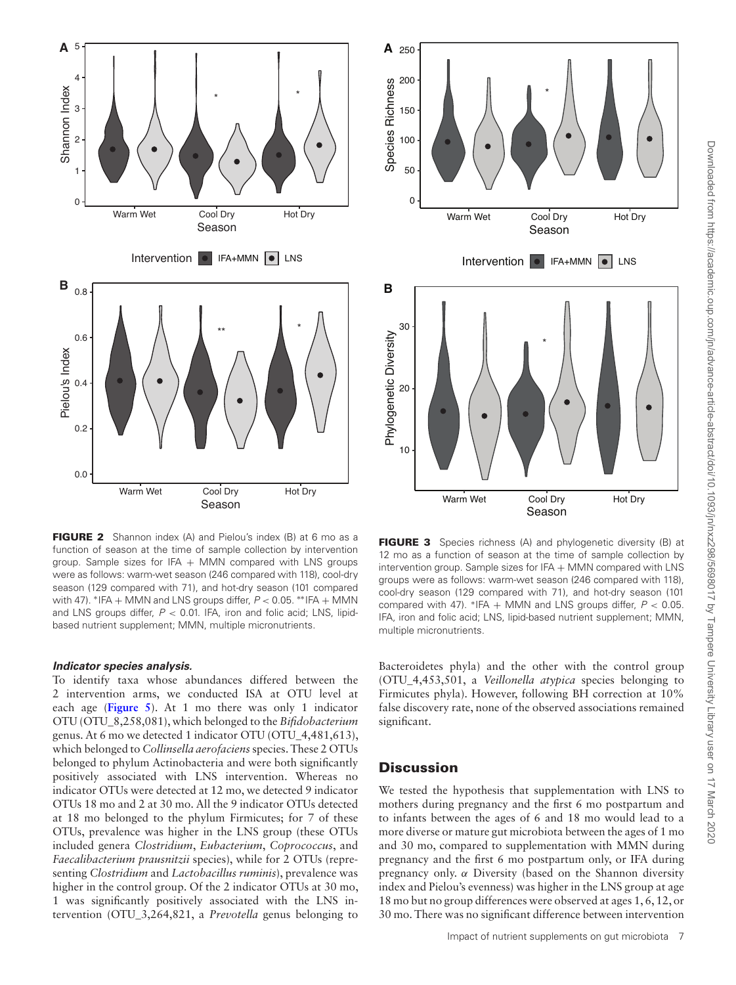<span id="page-6-0"></span>

**FIGURE 2** Shannon index (A) and Pielou's index (B) at 6 mo as a function of season at the time of sample collection by intervention group. Sample sizes for IFA  $+$  MMN compared with LNS groups were as follows: warm-wet season (246 compared with 118), cool-dry season (129 compared with 71), and hot-dry season (101 compared with 47). \*IFA + MMN and LNS groups differ,  $P < 0.05$ . \*\*IFA + MMN and LNS groups differ,  $P < 0.01$ . IFA, iron and folic acid; LNS, lipidbased nutrient supplement; MMN, multiple micronutrients.

## *Indicator species analysis.*

To identify taxa whose abundances differed between the 2 intervention arms, we conducted ISA at OTU level at each age (**[Figure 5](#page-7-1)**). At 1 mo there was only 1 indicator OTU (OTU\_8,258,081), which belonged to the *Bifidobacterium* genus. At 6 mo we detected 1 indicator OTU (OTU\_4,481,613), which belonged to *Collinsella aerofaciens*species. These 2 OTUs belonged to phylum Actinobacteria and were both significantly positively associated with LNS intervention. Whereas no indicator OTUs were detected at 12 mo, we detected 9 indicator OTUs 18 mo and 2 at 30 mo. All the 9 indicator OTUs detected at 18 mo belonged to the phylum Firmicutes; for 7 of these OTUs, prevalence was higher in the LNS group (these OTUs included genera *Clostridium*, *Eubacterium*, *Coprococcus*, and *Faecalibacterium prausnitzii* species), while for 2 OTUs (representing *Clostridium* and *Lactobacillus ruminis*), prevalence was higher in the control group. Of the 2 indicator OTUs at 30 mo, 1 was significantly positively associated with the LNS intervention (OTU\_3,264,821, a *Prevotella* genus belonging to

<span id="page-6-1"></span>

**FIGURE 3** Species richness (A) and phylogenetic diversity (B) at 12 mo as a function of season at the time of sample collection by intervention group. Sample sizes for IFA + MMN compared with LNS groups were as follows: warm-wet season (246 compared with 118), cool-dry season (129 compared with 71), and hot-dry season (101 compared with 47). \*IFA + MMN and LNS groups differ,  $P < 0.05$ . IFA, iron and folic acid; LNS, lipid-based nutrient supplement; MMN, multiple micronutrients.

Bacteroidetes phyla) and the other with the control group (OTU\_4,453,501, a *Veillonella atypica* species belonging to Firmicutes phyla). However, following BH correction at 10% false discovery rate, none of the observed associations remained significant.

# **Discussion**

We tested the hypothesis that supplementation with LNS to mothers during pregnancy and the first 6 mo postpartum and to infants between the ages of 6 and 18 mo would lead to a more diverse or mature gut microbiota between the ages of 1 mo and 30 mo, compared to supplementation with MMN during pregnancy and the first 6 mo postpartum only, or IFA during pregnancy only.  $\alpha$  Diversity (based on the Shannon diversity index and Pielou's evenness) was higher in the LNS group at age 18 mo but no group differences were observed at ages 1, 6, 12, or 30 mo. There was no significant difference between intervention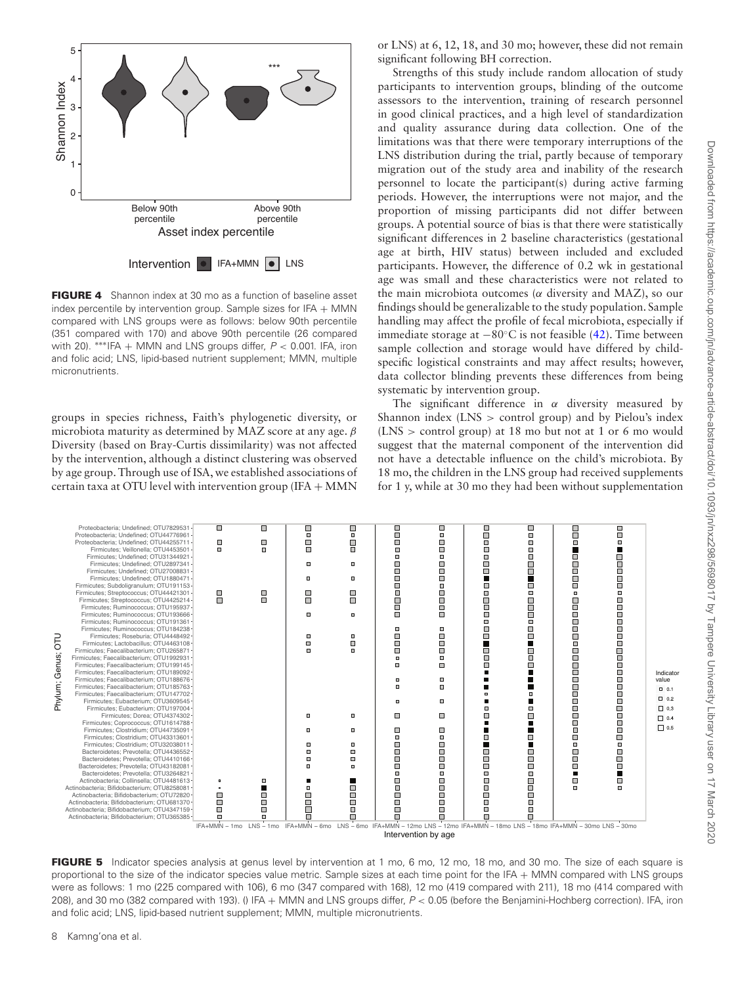<span id="page-7-0"></span>

**FIGURE 4** Shannon index at 30 mo as a function of baseline asset index percentile by intervention group. Sample sizes for IFA  $+$  MMN compared with LNS groups were as follows: below 90th percentile (351 compared with 170) and above 90th percentile (26 compared with 20). \*\*\*IFA + MMN and LNS groups differ,  $P < 0.001$ . IFA, iron and folic acid; LNS, lipid-based nutrient supplement; MMN, multiple micronutrients.

groups in species richness, Faith's phylogenetic diversity, or microbiota maturity as determined by MAZ score at any age.  $\beta$ Diversity (based on Bray-Curtis dissimilarity) was not affected by the intervention, although a distinct clustering was observed by age group. Through use of ISA, we established associations of certain taxa at OTU level with intervention group (IFA + MMN or LNS) at 6, 12, 18, and 30 mo; however, these did not remain significant following BH correction.

Strengths of this study include random allocation of study participants to intervention groups, blinding of the outcome assessors to the intervention, training of research personnel in good clinical practices, and a high level of standardization and quality assurance during data collection. One of the limitations was that there were temporary interruptions of the LNS distribution during the trial, partly because of temporary migration out of the study area and inability of the research personnel to locate the participant(s) during active farming periods. However, the interruptions were not major, and the proportion of missing participants did not differ between groups. A potential source of bias is that there were statistically significant differences in 2 baseline characteristics (gestational age at birth, HIV status) between included and excluded participants. However, the difference of 0.2 wk in gestational age was small and these characteristics were not related to the main microbiota outcomes ( $\alpha$  diversity and MAZ), so our findings should be generalizable to the study population. Sample handling may affect the profile of fecal microbiota, especially if immediate storage at  $-80^\circ$ C is not feasible [\(42\)](#page-9-32). Time between sample collection and storage would have differed by childspecific logistical constraints and may affect results; however, data collector blinding prevents these differences from being systematic by intervention group.

The significant difference in  $\alpha$  diversity measured by Shannon index (LNS > control group) and by Pielou's index (LNS > control group) at 18 mo but not at 1 or 6 mo would suggest that the maternal component of the intervention did not have a detectable influence on the child's microbiota. By 18 mo, the children in the LNS group had received supplements for 1 y, while at 30 mo they had been without supplementation

<span id="page-7-1"></span>

| <b>DLO</b><br>Genus;<br>Phylum; | Proteobacteria: Undefined: OTU7829531-<br>Proteobacteria; Undefined; OTU44776961-<br>Proteobacteria: Undefined: OTU44255711-<br>Firmicutes; Veillonella; OTU4453501 -<br>Firmicutes: Undefined: OTU31344921-<br>Firmicutes: Undefined: OTU2897341-<br>Firmicutes: Undefined: OTU27008831<br>Firmicutes: Undefined: OTU1880471-<br>Firmicutes; Subdoligranulum; OTU191153-<br>Firmicutes: Streptococcus: OTU44421301 -<br>Firmicutes; Streptococcus; OTU4425214 -<br>Firmicutes; Ruminococcus; OTU195937-<br>Firmicutes: Ruminococcus: OTU193666-<br>Firmicutes: Ruminococcus: OTU191361 -<br>Firmicutes: Ruminococcus: OTU184238-<br>Firmicutes: Roseburia: OTU4448492-<br>Firmicutes: Lactobacillus: OTU4463108 -<br>Firmicutes: Faecalibacterium: OTU265871 -<br>Firmicutes: Faecalibacterium: OTU1992931-<br>Firmicutes: Faecalibacterium: OTU199145 -<br>Firmicutes: Faecalibacterium: OTU189092-<br>Firmicutes; Faecalibacterium; OTU188676-<br>Firmicutes: Faecalibacterium: OTU185763-<br>Firmicutes: Faecalibacterium: OTU147702-<br>Firmicutes; Eubacterium; OTU3609545 -<br>Firmicutes: Eubacterium: OTU197004-<br>Firmicutes: Dorea: OTU4374302 -<br>Firmicutes: Coprococcus: OTU1614788-<br>Firmicutes; Clostridium; OTU44735091 -<br>Firmicutes: Clostridium: OTU43313601 -<br>Firmicutes: Clostridium: OTU32038011-<br>Bacteroidetes; Prevotella; OTU4436552-<br>Bacteroidetes: Prevotella: OTU4410166 -<br>Bacteroidetes: Prevotella: OTU43182081-<br>Bacteroidetes; Prevotella; OTU3264821 -<br>Actinobacteria: Collinsella: OTU4481613- | $\blacksquare$<br>ο<br>Ω.<br>□<br>П<br>$\mathbf{a}$                                                                           | □<br>$\Box$<br>$\Box$<br>$\Box$<br>П<br>Θ | $\Box$<br>$\Box$<br>$\Box$<br>п<br>$\Box$<br>$\Box$<br>o<br>П<br>α<br>α<br>Π<br>m<br>п<br>Л<br>Θ<br>$\Box$<br>Ξ<br>$\Box$ | □<br>$\Box$<br>О<br>п<br>o<br>о<br>П<br>o<br>ο<br>п<br>α<br>α<br>α<br>$\Box$<br>ο<br>ш<br>п | о<br>$\Box$<br>$\Box$<br>$\Box$<br>$\Box$<br>▣<br>Ξ<br>о<br>$\Box$<br>$\Box$<br>$\Box$<br>$\Box$<br>$\Box$<br>п<br>о<br>О<br>П<br>$\Box$<br>Ξ<br>m<br>$\Box$<br>$\Box$<br>ш<br>ο<br>ο<br>$\Box$<br>$\Box$<br>$\Box$<br>Ξ<br>Θ<br>□ | $\Box$<br>п<br>Ο<br>п<br>m<br>П<br>о<br>ш<br>п<br>ο<br>□<br>ш<br>П<br>Θ<br>П<br>п<br>Π<br>Θ<br>ш<br>α<br>п<br>$\square$<br>П<br>П<br>ο<br>□<br>П<br>Ο<br>□<br>Ω<br>П | о<br>$\Box$<br>ο<br>П<br>Π.<br>π<br>П<br>п<br>ο<br>$\Box$<br>С<br>п<br>E.<br>П<br>п<br>□<br>$\Box$<br>□<br>п<br>П<br>п<br>□<br>о<br>П<br>Π.<br>$\Box$ | ο<br>Ξ<br>$\Box$<br>П<br>$\Box$<br>г<br>Г<br>п<br>$\square$<br>г<br>г<br>П<br>$\Box$<br>п<br>п<br>с<br>Ω<br>п<br>Ω<br>m<br>□<br>с<br>Ω<br>п<br>П | □<br>П<br>п<br>ш<br>П<br>$\Box$<br>$\Box$<br>п<br>n<br>П<br>ш<br>п<br>О<br>П<br>u<br>ш<br>Π<br>П<br>$\Box$<br>П<br>Ξ<br>$\Box$<br>Ω<br>$\overline{\phantom{a}}$<br>О<br>$\Box$<br>П<br>$\Box$<br>Г<br>Θ<br>п<br>π<br>О<br>п<br>П | о<br>п<br>п<br>П<br>□<br>Π<br>П<br>п<br>m<br>π<br>п<br>П<br>$\Box$<br>П<br>п<br>п.<br>□<br>П<br>П<br>П<br>□<br>П<br>П<br>□<br>П<br>□<br>П<br>П<br>п<br>$\Box$<br>□<br>П<br>□<br>П | Indicato<br>value<br>0.01<br>$\square$ 0.2<br>$\square$ 0.3<br>$\Box$ 0.4<br>$\Box$ 0.5 |
|---------------------------------|----------------------------------------------------------------------------------------------------------------------------------------------------------------------------------------------------------------------------------------------------------------------------------------------------------------------------------------------------------------------------------------------------------------------------------------------------------------------------------------------------------------------------------------------------------------------------------------------------------------------------------------------------------------------------------------------------------------------------------------------------------------------------------------------------------------------------------------------------------------------------------------------------------------------------------------------------------------------------------------------------------------------------------------------------------------------------------------------------------------------------------------------------------------------------------------------------------------------------------------------------------------------------------------------------------------------------------------------------------------------------------------------------------------------------------------------------------------------------------------------------------------------------------------------------------|-------------------------------------------------------------------------------------------------------------------------------|-------------------------------------------|---------------------------------------------------------------------------------------------------------------------------|---------------------------------------------------------------------------------------------|------------------------------------------------------------------------------------------------------------------------------------------------------------------------------------------------------------------------------------|----------------------------------------------------------------------------------------------------------------------------------------------------------------------|-------------------------------------------------------------------------------------------------------------------------------------------------------|--------------------------------------------------------------------------------------------------------------------------------------------------|----------------------------------------------------------------------------------------------------------------------------------------------------------------------------------------------------------------------------------|-----------------------------------------------------------------------------------------------------------------------------------------------------------------------------------|-----------------------------------------------------------------------------------------|
|                                 |                                                                                                                                                                                                                                                                                                                                                                                                                                                                                                                                                                                                                                                                                                                                                                                                                                                                                                                                                                                                                                                                                                                                                                                                                                                                                                                                                                                                                                                                                                                                                          |                                                                                                                               |                                           |                                                                                                                           |                                                                                             |                                                                                                                                                                                                                                    |                                                                                                                                                                      |                                                                                                                                                       |                                                                                                                                                  |                                                                                                                                                                                                                                  |                                                                                                                                                                                   |                                                                                         |
|                                 |                                                                                                                                                                                                                                                                                                                                                                                                                                                                                                                                                                                                                                                                                                                                                                                                                                                                                                                                                                                                                                                                                                                                                                                                                                                                                                                                                                                                                                                                                                                                                          |                                                                                                                               |                                           |                                                                                                                           |                                                                                             |                                                                                                                                                                                                                                    |                                                                                                                                                                      |                                                                                                                                                       |                                                                                                                                                  |                                                                                                                                                                                                                                  |                                                                                                                                                                                   |                                                                                         |
|                                 |                                                                                                                                                                                                                                                                                                                                                                                                                                                                                                                                                                                                                                                                                                                                                                                                                                                                                                                                                                                                                                                                                                                                                                                                                                                                                                                                                                                                                                                                                                                                                          |                                                                                                                               |                                           |                                                                                                                           |                                                                                             |                                                                                                                                                                                                                                    |                                                                                                                                                                      |                                                                                                                                                       |                                                                                                                                                  |                                                                                                                                                                                                                                  |                                                                                                                                                                                   |                                                                                         |
|                                 | Actinobacteria; Bifidobacterium; OTU8258081 -                                                                                                                                                                                                                                                                                                                                                                                                                                                                                                                                                                                                                                                                                                                                                                                                                                                                                                                                                                                                                                                                                                                                                                                                                                                                                                                                                                                                                                                                                                            | ٠                                                                                                                             | п                                         |                                                                                                                           | о                                                                                           | $\square$                                                                                                                                                                                                                          | п                                                                                                                                                                    |                                                                                                                                                       | □                                                                                                                                                | Ω                                                                                                                                                                                                                                | п                                                                                                                                                                                 |                                                                                         |
|                                 | Actinobacteria: Bifidobacterium: OTU72820 -                                                                                                                                                                                                                                                                                                                                                                                                                                                                                                                                                                                                                                                                                                                                                                                                                                                                                                                                                                                                                                                                                                                                                                                                                                                                                                                                                                                                                                                                                                              | $\Box$                                                                                                                        | П                                         | $\Box$                                                                                                                    | □                                                                                           | $\Box$                                                                                                                                                                                                                             | $\Box$                                                                                                                                                               | ⊓                                                                                                                                                     | п                                                                                                                                                |                                                                                                                                                                                                                                  |                                                                                                                                                                                   |                                                                                         |
|                                 | Actinobacteria: Bifidobacterium: OTU681370-                                                                                                                                                                                                                                                                                                                                                                                                                                                                                                                                                                                                                                                                                                                                                                                                                                                                                                                                                                                                                                                                                                                                                                                                                                                                                                                                                                                                                                                                                                              | О                                                                                                                             | П                                         | П                                                                                                                         | □                                                                                           | п                                                                                                                                                                                                                                  | П                                                                                                                                                                    | п                                                                                                                                                     | Θ                                                                                                                                                |                                                                                                                                                                                                                                  |                                                                                                                                                                                   |                                                                                         |
|                                 | Actinobacteria: Bifidobacterium: OTU4347159-                                                                                                                                                                                                                                                                                                                                                                                                                                                                                                                                                                                                                                                                                                                                                                                                                                                                                                                                                                                                                                                                                                                                                                                                                                                                                                                                                                                                                                                                                                             | □                                                                                                                             | $\Box$                                    | Г                                                                                                                         | ш                                                                                           | $\Box$                                                                                                                                                                                                                             | о                                                                                                                                                                    | о                                                                                                                                                     | П                                                                                                                                                |                                                                                                                                                                                                                                  |                                                                                                                                                                                   |                                                                                         |
|                                 | Actinobacteria: Bifidobacterium: OTU365385-                                                                                                                                                                                                                                                                                                                                                                                                                                                                                                                                                                                                                                                                                                                                                                                                                                                                                                                                                                                                                                                                                                                                                                                                                                                                                                                                                                                                                                                                                                              | ш                                                                                                                             | α                                         | $\Box$                                                                                                                    | П                                                                                           | П                                                                                                                                                                                                                                  | Π                                                                                                                                                                    | п                                                                                                                                                     | Π                                                                                                                                                |                                                                                                                                                                                                                                  |                                                                                                                                                                                   |                                                                                         |
|                                 |                                                                                                                                                                                                                                                                                                                                                                                                                                                                                                                                                                                                                                                                                                                                                                                                                                                                                                                                                                                                                                                                                                                                                                                                                                                                                                                                                                                                                                                                                                                                                          |                                                                                                                               |                                           |                                                                                                                           |                                                                                             |                                                                                                                                                                                                                                    |                                                                                                                                                                      |                                                                                                                                                       |                                                                                                                                                  |                                                                                                                                                                                                                                  |                                                                                                                                                                                   |                                                                                         |
|                                 |                                                                                                                                                                                                                                                                                                                                                                                                                                                                                                                                                                                                                                                                                                                                                                                                                                                                                                                                                                                                                                                                                                                                                                                                                                                                                                                                                                                                                                                                                                                                                          | IFA+MMN - 1mo LNS - 1mo IFA+MMN - 6mo LNS - 6mo IFA+MMN - 12mo LNS - 12mo IFA+MMN - 18mo LNS - 18mo IFA+MMN - 30mo LNS - 30mo |                                           |                                                                                                                           |                                                                                             |                                                                                                                                                                                                                                    |                                                                                                                                                                      |                                                                                                                                                       |                                                                                                                                                  |                                                                                                                                                                                                                                  |                                                                                                                                                                                   |                                                                                         |

Intervention by age

**FIGURE 5** Indicator species analysis at genus level by intervention at 1 mo, 6 mo, 12 mo, 18 mo, and 30 mo. The size of each square is proportional to the size of the indicator species value metric. Sample sizes at each time point for the IFA + MMN compared with LNS groups were as follows: 1 mo (225 compared with 106), 6 mo (347 compared with 168), 12 mo (419 compared with 211), 18 mo (414 compared with 208), and 30 mo (382 compared with 193). () IFA + MMN and LNS groups differ,  $P < 0.05$  (before the Benjamini-Hochberg correction). IFA, iron and folic acid; LNS, lipid-based nutrient supplement; MMN, multiple micronutrients.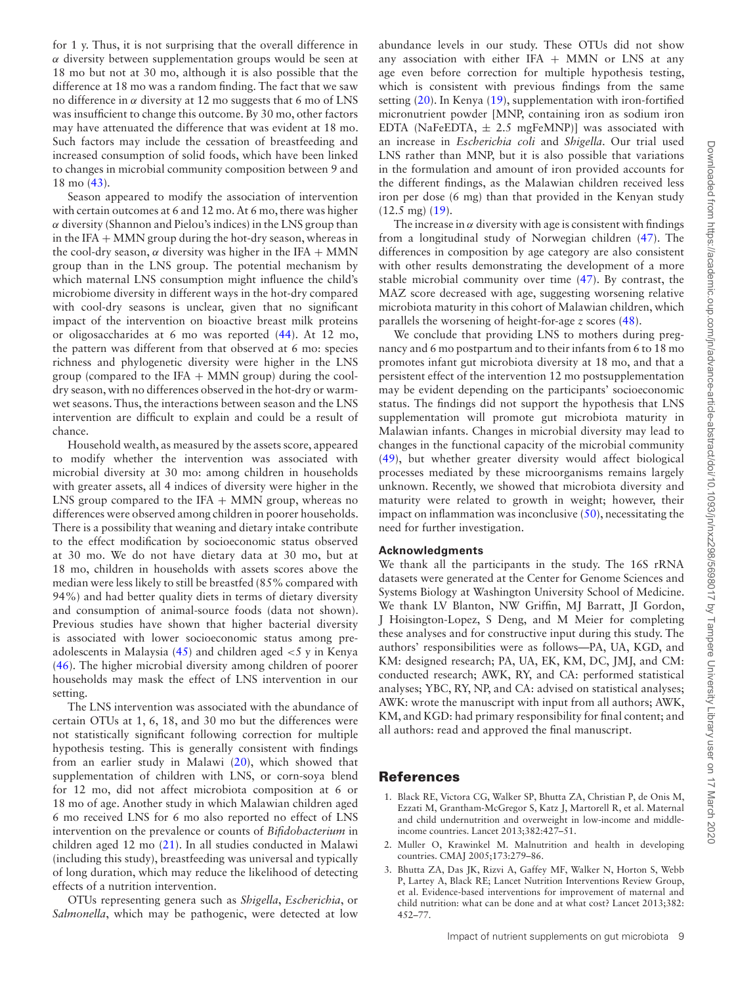for 1 y. Thus, it is not surprising that the overall difference in  $\alpha$  diversity between supplementation groups would be seen at 18 mo but not at 30 mo, although it is also possible that the difference at 18 mo was a random finding. The fact that we saw no difference in  $α$  diversity at 12 mo suggests that 6 mo of LNS was insufficient to change this outcome. By 30 mo, other factors may have attenuated the difference that was evident at 18 mo. Such factors may include the cessation of breastfeeding and increased consumption of solid foods, which have been linked to changes in microbial community composition between 9 and 18 mo [\(43\)](#page-10-0).

Season appeared to modify the association of intervention with certain outcomes at 6 and 12 mo. At 6 mo, there was higher  $\alpha$  diversity (Shannon and Pielou's indices) in the LNS group than in the IFA + MMN group during the hot-dry season, whereas in the cool-dry season,  $\alpha$  diversity was higher in the IFA + MMN group than in the LNS group. The potential mechanism by which maternal LNS consumption might influence the child's microbiome diversity in different ways in the hot-dry compared with cool-dry seasons is unclear, given that no significant impact of the intervention on bioactive breast milk proteins or oligosaccharides at 6 mo was reported [\(44\)](#page-10-1). At 12 mo, the pattern was different from that observed at 6 mo: species richness and phylogenetic diversity were higher in the LNS group (compared to the IFA  $+$  MMN group) during the cooldry season, with no differences observed in the hot-dry or warmwet seasons. Thus, the interactions between season and the LNS intervention are difficult to explain and could be a result of chance.

Household wealth, as measured by the assets score, appeared to modify whether the intervention was associated with microbial diversity at 30 mo: among children in households with greater assets, all 4 indices of diversity were higher in the LNS group compared to the IFA  $+$  MMN group, whereas no differences were observed among children in poorer households. There is a possibility that weaning and dietary intake contribute to the effect modification by socioeconomic status observed at 30 mo. We do not have dietary data at 30 mo, but at 18 mo, children in households with assets scores above the median were less likely to still be breastfed (85% compared with 94%) and had better quality diets in terms of dietary diversity and consumption of animal-source foods (data not shown). Previous studies have shown that higher bacterial diversity is associated with lower socioeconomic status among preadolescents in Malaysia  $(45)$  and children aged  $<$ 5 y in Kenya [\(46\)](#page-10-3). The higher microbial diversity among children of poorer households may mask the effect of LNS intervention in our setting.

The LNS intervention was associated with the abundance of certain OTUs at 1, 6, 18, and 30 mo but the differences were not statistically significant following correction for multiple hypothesis testing. This is generally consistent with findings from an earlier study in Malawi [\(20\)](#page-9-10), which showed that supplementation of children with LNS, or corn-soya blend for 12 mo, did not affect microbiota composition at 6 or 18 mo of age. Another study in which Malawian children aged 6 mo received LNS for 6 mo also reported no effect of LNS intervention on the prevalence or counts of *Bifidobacterium* in children aged 12 mo [\(21\)](#page-9-11). In all studies conducted in Malawi (including this study), breastfeeding was universal and typically of long duration, which may reduce the likelihood of detecting effects of a nutrition intervention.

OTUs representing genera such as *Shigella*, *Escherichia*, or *Salmonella*, which may be pathogenic, were detected at low abundance levels in our study. These OTUs did not show any association with either IFA + MMN or LNS at any age even before correction for multiple hypothesis testing, which is consistent with previous findings from the same setting [\(20\)](#page-9-10). In Kenya [\(19\)](#page-9-9), supplementation with iron-fortified micronutrient powder [MNP, containing iron as sodium iron EDTA (NaFeEDTA,  $\pm$  2.5 mgFeMNP)] was associated with an increase in *Escherichia coli* and *Shigella*. Our trial used LNS rather than MNP, but it is also possible that variations in the formulation and amount of iron provided accounts for the different findings, as the Malawian children received less iron per dose (6 mg) than that provided in the Kenyan study (12.5 mg) [\(19\)](#page-9-9).

The increase in  $\alpha$  diversity with age is consistent with findings from a longitudinal study of Norwegian children [\(47\)](#page-10-4). The differences in composition by age category are also consistent with other results demonstrating the development of a more stable microbial community over time [\(47\)](#page-10-4). By contrast, the MAZ score decreased with age, suggesting worsening relative microbiota maturity in this cohort of Malawian children, which parallels the worsening of height-for-age *z* scores [\(48\)](#page-10-5).

We conclude that providing LNS to mothers during pregnancy and 6 mo postpartum and to their infants from 6 to 18 mo promotes infant gut microbiota diversity at 18 mo, and that a persistent effect of the intervention 12 mo postsupplementation may be evident depending on the participants' socioeconomic status. The findings did not support the hypothesis that LNS supplementation will promote gut microbiota maturity in Malawian infants. Changes in microbial diversity may lead to changes in the functional capacity of the microbial community [\(49\)](#page-10-6), but whether greater diversity would affect biological processes mediated by these microorganisms remains largely unknown. Recently, we showed that microbiota diversity and maturity were related to growth in weight; however, their impact on inflammation was inconclusive  $(50)$ , necessitating the need for further investigation.

## **Acknowledgments**

We thank all the participants in the study. The 16S rRNA datasets were generated at the Center for Genome Sciences and Systems Biology at Washington University School of Medicine. We thank LV Blanton, NW Griffin, MJ Barratt, JI Gordon, J Hoisington-Lopez, S Deng, and M Meier for completing these analyses and for constructive input during this study. The authors' responsibilities were as follows—PA, UA, KGD, and KM: designed research; PA, UA, EK, KM, DC, JMJ, and CM: conducted research; AWK, RY, and CA: performed statistical analyses; YBC, RY, NP, and CA: advised on statistical analyses; AWK: wrote the manuscript with input from all authors; AWK, KM, and KGD: had primary responsibility for final content; and all authors: read and approved the final manuscript.

## **References**

- <span id="page-8-0"></span>1. Black RE, Victora CG, Walker SP, Bhutta ZA, Christian P, de Onis M, Ezzati M, Grantham-McGregor S, Katz J, Martorell R, et al. Maternal and child undernutrition and overweight in low-income and middleincome countries. Lancet 2013;382:427–51.
- <span id="page-8-1"></span>2. Muller O, Krawinkel M. Malnutrition and health in developing countries. CMAJ 2005;173:279–86.
- <span id="page-8-2"></span>3. Bhutta ZA, Das JK, Rizvi A, Gaffey MF, Walker N, Horton S, Webb P, Lartey A, Black RE; Lancet Nutrition Interventions Review Group, et al. Evidence-based interventions for improvement of maternal and child nutrition: what can be done and at what cost? Lancet 2013;382: 452–77.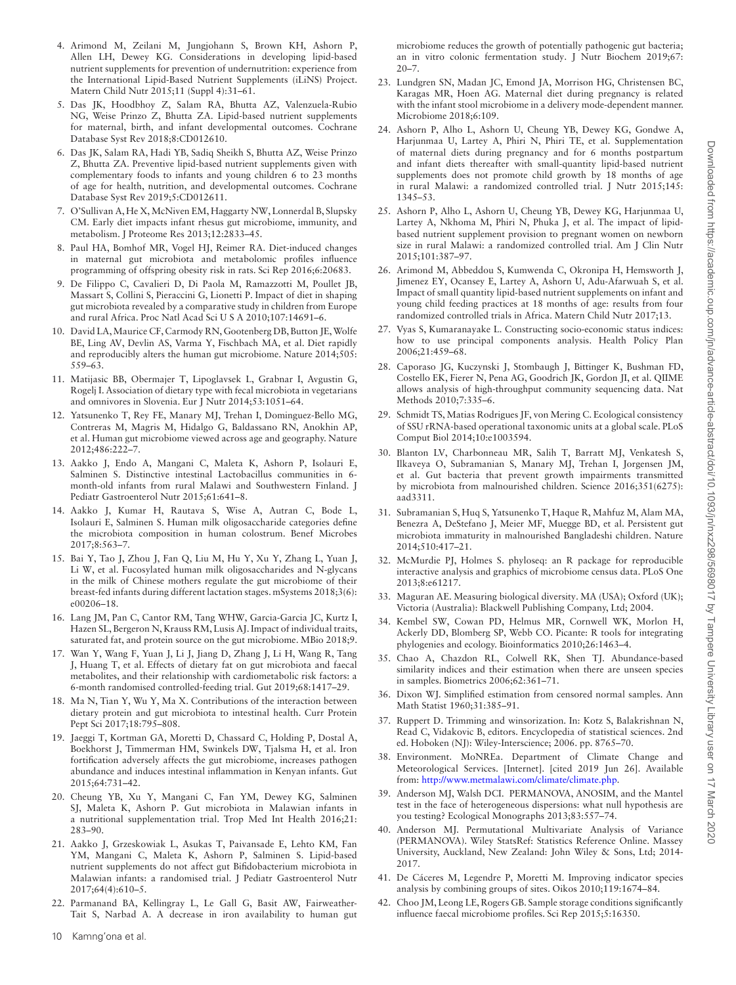- <span id="page-9-0"></span>4. Arimond M, Zeilani M, Jungjohann S, Brown KH, Ashorn P, Allen LH, Dewey KG. Considerations in developing lipid-based nutrient supplements for prevention of undernutrition: experience from the International Lipid-Based Nutrient Supplements (iLiNS) Project. Matern Child Nutr 2015;11 (Suppl 4):31–61.
- <span id="page-9-1"></span>5. Das JK, Hoodbhoy Z, Salam RA, Bhutta AZ, Valenzuela-Rubio NG, Weise Prinzo Z, Bhutta ZA. Lipid-based nutrient supplements for maternal, birth, and infant developmental outcomes. Cochrane Database Syst Rev 2018;8:CD012610.
- <span id="page-9-2"></span>6. Das JK, Salam RA, Hadi YB, Sadiq Sheikh S, Bhutta AZ, Weise Prinzo Z, Bhutta ZA. Preventive lipid-based nutrient supplements given with complementary foods to infants and young children 6 to 23 months of age for health, nutrition, and developmental outcomes. Cochrane Database Syst Rev 2019;5:CD012611.
- <span id="page-9-3"></span>7. O'Sullivan A, He X, McNiven EM, Haggarty NW, Lonnerdal B, Slupsky CM. Early diet impacts infant rhesus gut microbiome, immunity, and metabolism. J Proteome Res 2013;12:2833–45.
- <span id="page-9-4"></span>8. Paul HA, Bomhof MR, Vogel HJ, Reimer RA. Diet-induced changes in maternal gut microbiota and metabolomic profiles influence programming of offspring obesity risk in rats. Sci Rep 2016;6:20683.
- <span id="page-9-5"></span>9. De Filippo C, Cavalieri D, Di Paola M, Ramazzotti M, Poullet JB, Massart S, Collini S, Pieraccini G, Lionetti P. Impact of diet in shaping gut microbiota revealed by a comparative study in children from Europe and rural Africa. Proc Natl Acad Sci U S A 2010;107:14691–6.
- 10. David LA,Maurice CF, Carmody RN, Gootenberg DB, Button JE,Wolfe BE, Ling AV, Devlin AS, Varma Y, Fischbach MA, et al. Diet rapidly and reproducibly alters the human gut microbiome. Nature 2014;505: 559–63.
- 11. Matijasic BB, Obermajer T, Lipoglavsek L, Grabnar I, Avgustin G, Rogelj I. Association of dietary type with fecal microbiota in vegetarians and omnivores in Slovenia. Eur J Nutr 2014;53:1051–64.
- 12. Yatsunenko T, Rey FE, Manary MJ, Trehan I, Dominguez-Bello MG, Contreras M, Magris M, Hidalgo G, Baldassano RN, Anokhin AP, et al. Human gut microbiome viewed across age and geography. Nature 2012;486:222–7.
- 13. Aakko J, Endo A, Mangani C, Maleta K, Ashorn P, Isolauri E, Salminen S. Distinctive intestinal Lactobacillus communities in 6 month-old infants from rural Malawi and Southwestern Finland. J Pediatr Gastroenterol Nutr 2015;61:641–8.
- <span id="page-9-6"></span>14. Aakko J, Kumar H, Rautava S, Wise A, Autran C, Bode L, Isolauri E, Salminen S. Human milk oligosaccharide categories define the microbiota composition in human colostrum. Benef Microbes 2017;8:563–7.
- <span id="page-9-7"></span>15. Bai Y, Tao J, Zhou J, Fan Q, Liu M, Hu Y, Xu Y, Zhang L, Yuan J, Li W, et al. Fucosylated human milk oligosaccharides and N-glycans in the milk of Chinese mothers regulate the gut microbiome of their breast-fed infants during different lactation stages. mSystems 2018;3(6): e00206–18.
- <span id="page-9-8"></span>16. Lang JM, Pan C, Cantor RM, Tang WHW, Garcia-Garcia JC, Kurtz I, Hazen SL, Bergeron N, Krauss RM, Lusis AJ. Impact of individual traits, saturated fat, and protein source on the gut microbiome. MBio 2018;9.
- 17. Wan Y, Wang F, Yuan J, Li J, Jiang D, Zhang J, Li H, Wang R, Tang J, Huang T, et al. Effects of dietary fat on gut microbiota and faecal metabolites, and their relationship with cardiometabolic risk factors: a 6-month randomised controlled-feeding trial. Gut 2019;68:1417–29.
- 18. Ma N, Tian Y, Wu Y, Ma X. Contributions of the interaction between dietary protein and gut microbiota to intestinal health. Curr Protein Pept Sci 2017;18:795–808.
- <span id="page-9-9"></span>19. Jaeggi T, Kortman GA, Moretti D, Chassard C, Holding P, Dostal A, Boekhorst J, Timmerman HM, Swinkels DW, Tjalsma H, et al. Iron fortification adversely affects the gut microbiome, increases pathogen abundance and induces intestinal inflammation in Kenyan infants. Gut 2015;64:731–42.
- <span id="page-9-10"></span>20. Cheung YB, Xu Y, Mangani C, Fan YM, Dewey KG, Salminen SJ, Maleta K, Ashorn P. Gut microbiota in Malawian infants in a nutritional supplementation trial. Trop Med Int Health 2016;21: 283–90.
- <span id="page-9-11"></span>21. Aakko J, Grzeskowiak L, Asukas T, Paivansade E, Lehto KM, Fan YM, Mangani C, Maleta K, Ashorn P, Salminen S. Lipid-based nutrient supplements do not affect gut Bifidobacterium microbiota in Malawian infants: a randomised trial. J Pediatr Gastroenterol Nutr 2017;64(4):610–5.
- <span id="page-9-12"></span>22. Parmanand BA, Kellingray L, Le Gall G, Basit AW, Fairweather-Tait S, Narbad A. A decrease in iron availability to human gut

microbiome reduces the growth of potentially pathogenic gut bacteria; an in vitro colonic fermentation study. J Nutr Biochem 2019;67:  $20 - 7.$ 

- <span id="page-9-13"></span>23. Lundgren SN, Madan JC, Emond JA, Morrison HG, Christensen BC, Karagas MR, Hoen AG. Maternal diet during pregnancy is related with the infant stool microbiome in a delivery mode-dependent manner. Microbiome 2018;6:109.
- <span id="page-9-14"></span>24. Ashorn P, Alho L, Ashorn U, Cheung YB, Dewey KG, Gondwe A, Harjunmaa U, Lartey A, Phiri N, Phiri TE, et al. Supplementation of maternal diets during pregnancy and for 6 months postpartum and infant diets thereafter with small-quantity lipid-based nutrient supplements does not promote child growth by 18 months of age in rural Malawi: a randomized controlled trial. J Nutr 2015;145: 1345–53.
- <span id="page-9-15"></span>25. Ashorn P, Alho L, Ashorn U, Cheung YB, Dewey KG, Harjunmaa U, Lartey A, Nkhoma M, Phiri N, Phuka J, et al. The impact of lipidbased nutrient supplement provision to pregnant women on newborn size in rural Malawi: a randomized controlled trial. Am J Clin Nutr 2015;101:387–97.
- <span id="page-9-16"></span>26. Arimond M, Abbeddou S, Kumwenda C, Okronipa H, Hemsworth J, Jimenez EY, Ocansey E, Lartey A, Ashorn U, Adu-Afarwuah S, et al. Impact of small quantity lipid-based nutrient supplements on infant and young child feeding practices at 18 months of age: results from four randomized controlled trials in Africa. Matern Child Nutr 2017;13.
- <span id="page-9-17"></span>27. Vyas S, Kumaranayake L. Constructing socio-economic status indices: how to use principal components analysis. Health Policy Plan 2006;21:459–68.
- <span id="page-9-18"></span>28. Caporaso JG, Kuczynski J, Stombaugh J, Bittinger K, Bushman FD, Costello EK, Fierer N, Pena AG, Goodrich JK, Gordon JI, et al. QIIME allows analysis of high-throughput community sequencing data. Nat Methods 2010;7:335–6.
- <span id="page-9-19"></span>29. Schmidt TS, Matias Rodrigues JF, von Mering C. Ecological consistency of SSU rRNA-based operational taxonomic units at a global scale. PLoS Comput Biol 2014;10:e1003594.
- <span id="page-9-20"></span>30. Blanton LV, Charbonneau MR, Salih T, Barratt MJ, Venkatesh S, Ilkaveya O, Subramanian S, Manary MJ, Trehan I, Jorgensen JM, et al. Gut bacteria that prevent growth impairments transmitted by microbiota from malnourished children. Science 2016;351(6275): aad3311.
- <span id="page-9-21"></span>31. Subramanian S, Huq S, Yatsunenko T, Haque R, Mahfuz M, Alam MA, Benezra A, DeStefano J, Meier MF, Muegge BD, et al. Persistent gut microbiota immaturity in malnourished Bangladeshi children. Nature 2014;510:417–21.
- <span id="page-9-22"></span>32. McMurdie PJ, Holmes S. phyloseq: an R package for reproducible interactive analysis and graphics of microbiome census data. PLoS One 2013;8:e61217.
- <span id="page-9-23"></span>33. Maguran AE. Measuring biological diversity. MA (USA); Oxford (UK); Victoria (Australia): Blackwell Publishing Company, Ltd; 2004.
- <span id="page-9-24"></span>34. Kembel SW, Cowan PD, Helmus MR, Cornwell WK, Morlon H, Ackerly DD, Blomberg SP, Webb CO. Picante: R tools for integrating phylogenies and ecology. Bioinformatics 2010;26:1463–4.
- <span id="page-9-25"></span>35. Chao A, Chazdon RL, Colwell RK, Shen TJ. Abundance-based similarity indices and their estimation when there are unseen species in samples. Biometrics 2006;62:361–71.
- <span id="page-9-26"></span>36. Dixon WJ. Simplified estimation from censored normal samples. Ann Math Statist 1960;31:385–91.
- <span id="page-9-27"></span>37. Ruppert D. Trimming and winsorization. In: Kotz S, Balakrishnan N, Read C, Vidakovic B, editors. Encyclopedia of statistical sciences. 2nd ed. Hoboken (NJ): Wiley-Interscience; 2006. pp. 8765–70.
- <span id="page-9-28"></span>38. Environment. MoNREa. Department of Climate Change and Meteorological Services. [Internet]. [cited 2019 Jun 26]. Available from: [http://www.metmalawi.com/climate/climate.php.](http://www.metmalawi.com/climate/climate.php)
- <span id="page-9-29"></span>39. Anderson MJ, Walsh DCI. PERMANOVA, ANOSIM, and the Mantel test in the face of heterogeneous dispersions: what null hypothesis are you testing? Ecological Monographs 2013;83:557–74.
- <span id="page-9-30"></span>40. Anderson MJ. Permutational Multivariate Analysis of Variance (PERMANOVA). Wiley StatsRef: Statistics Reference Online. Massey University, Auckland, New Zealand: John Wiley & Sons, Ltd; 2014- 2017.
- <span id="page-9-31"></span>41. De Cáceres M, Legendre P, Moretti M. Improving indicator species analysis by combining groups of sites. Oikos 2010;119:1674–84.
- <span id="page-9-32"></span>42. Choo JM, Leong LE, Rogers GB. Sample storage conditions significantly influence faecal microbiome profiles. Sci Rep 2015;5:16350.